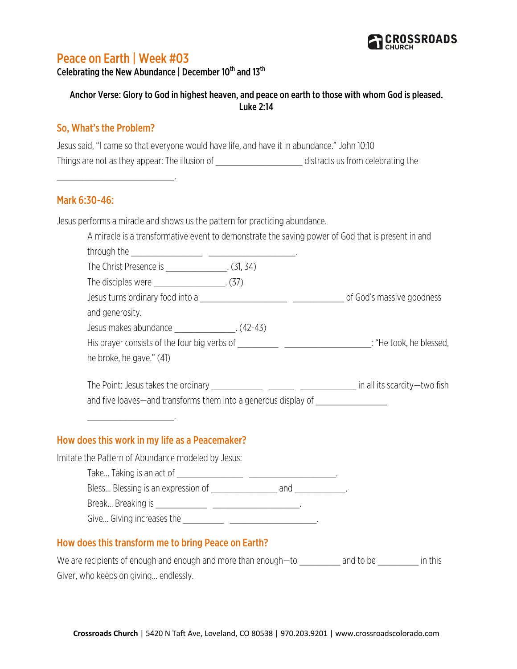

# Peace on Earth | Week #03

Celebrating the New Abundance | December 10<sup>th</sup> and 13<sup>th</sup>

## Anchor Verse: Glory to God in highest heaven, and peace on earth to those with whom God is pleased. Luke 2:14

#### So, What's the Problem?

\_\_\_\_\_\_\_\_\_\_\_\_\_\_\_\_\_\_\_\_\_\_\_.

Jesus said, "I came so that everyone would have life, and have it in abundance." John 10:10 Things are not as they appear: The illusion of \_\_\_\_\_\_\_\_\_\_\_\_\_\_\_\_\_\_\_\_\_\_\_\_distracts us from celebrating the

#### Mark 6:30-46:

Jesus performs a miracle and shows us the pattern for practicing abundance.

| A miracle is a transformative event to demonstrate the saving power of God that is present in and |  |  |
|---------------------------------------------------------------------------------------------------|--|--|
|                                                                                                   |  |  |
| The Christ Presence is _______________. (31, 34)                                                  |  |  |
| The disciples were ______________________. (37)                                                   |  |  |
|                                                                                                   |  |  |
| and generosity.                                                                                   |  |  |
| Jesus makes abundance ________________. (42-43)                                                   |  |  |
|                                                                                                   |  |  |
| he broke, he gave." (41)                                                                          |  |  |
|                                                                                                   |  |  |
| and five loaves—and transforms them into a generous display of _________________                  |  |  |
|                                                                                                   |  |  |
| How does this work in my life as a Peacemaker?                                                    |  |  |
| Imitate the Pattern of Abundance modeled by Jesus:                                                |  |  |
|                                                                                                   |  |  |
|                                                                                                   |  |  |
|                                                                                                   |  |  |
|                                                                                                   |  |  |
| How does this transform me to bring Peace on Earth?                                               |  |  |
|                                                                                                   |  |  |

We are recipients of enough and enough and more than enough—to \_\_\_\_\_\_\_\_\_\_ and to be \_\_\_\_\_\_\_\_\_\_ in this Giver, who keeps on giving… endlessly.